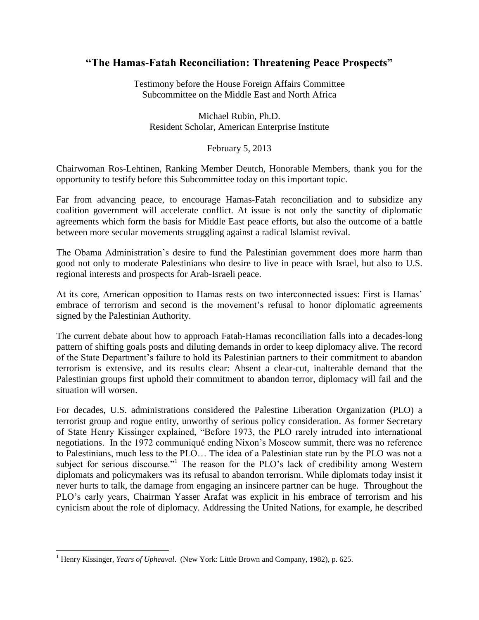## **"The Hamas-Fatah Reconciliation: Threatening Peace Prospects"**

Testimony before the House Foreign Affairs Committee Subcommittee on the Middle East and North Africa

Michael Rubin, Ph.D. Resident Scholar, American Enterprise Institute

February 5, 2013

Chairwoman Ros-Lehtinen, Ranking Member Deutch, Honorable Members, thank you for the opportunity to testify before this Subcommittee today on this important topic.

Far from advancing peace, to encourage Hamas-Fatah reconciliation and to subsidize any coalition government will accelerate conflict. At issue is not only the sanctity of diplomatic agreements which form the basis for Middle East peace efforts, but also the outcome of a battle between more secular movements struggling against a radical Islamist revival.

The Obama Administration's desire to fund the Palestinian government does more harm than good not only to moderate Palestinians who desire to live in peace with Israel, but also to U.S. regional interests and prospects for Arab-Israeli peace.

At its core, American opposition to Hamas rests on two interconnected issues: First is Hamas' embrace of terrorism and second is the movement's refusal to honor diplomatic agreements signed by the Palestinian Authority.

The current debate about how to approach Fatah-Hamas reconciliation falls into a decades-long pattern of shifting goals posts and diluting demands in order to keep diplomacy alive. The record of the State Department's failure to hold its Palestinian partners to their commitment to abandon terrorism is extensive, and its results clear: Absent a clear-cut, inalterable demand that the Palestinian groups first uphold their commitment to abandon terror, diplomacy will fail and the situation will worsen.

For decades, U.S. administrations considered the Palestine Liberation Organization (PLO) a terrorist group and rogue entity, unworthy of serious policy consideration. As former Secretary of State Henry Kissinger explained, "Before 1973, the PLO rarely intruded into international negotiations. In the 1972 communiqué ending Nixon's Moscow summit, there was no reference to Palestinians, much less to the PLO… The idea of a Palestinian state run by the PLO was not a subject for serious discourse."<sup>1</sup> The reason for the PLO's lack of credibility among Western diplomats and policymakers was its refusal to abandon terrorism. While diplomats today insist it never hurts to talk, the damage from engaging an insincere partner can be huge. Throughout the PLO's early years, Chairman Yasser Arafat was explicit in his embrace of terrorism and his cynicism about the role of diplomacy. Addressing the United Nations, for example, he described

 $\overline{\phantom{a}}$ 

<sup>1</sup> Henry Kissinger, *Years of Upheaval*. (New York: Little Brown and Company, 1982), p. 625.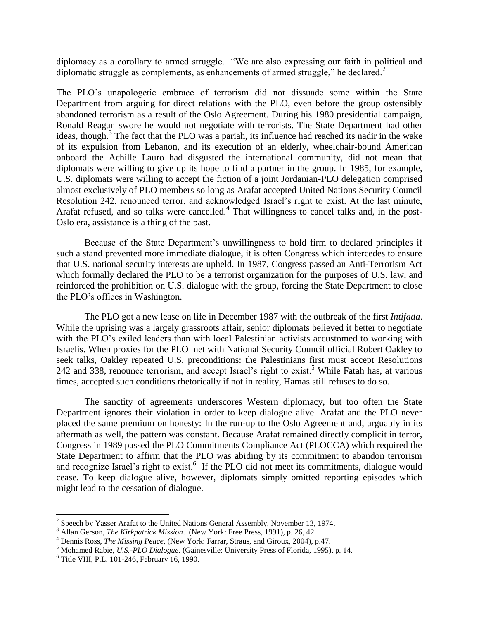diplomacy as a corollary to armed struggle. "We are also expressing our faith in political and diplomatic struggle as complements, as enhancements of armed struggle," he declared.<sup>2</sup>

The PLO's unapologetic embrace of terrorism did not dissuade some within the State Department from arguing for direct relations with the PLO, even before the group ostensibly abandoned terrorism as a result of the Oslo Agreement. During his 1980 presidential campaign, Ronald Reagan swore he would not negotiate with terrorists. The State Department had other ideas, though.<sup>3</sup> The fact that the PLO was a pariah, its influence had reached its nadir in the wake of its expulsion from Lebanon, and its execution of an elderly, wheelchair-bound American onboard the Achille Lauro had disgusted the international community, did not mean that diplomats were willing to give up its hope to find a partner in the group. In 1985, for example, U.S. diplomats were willing to accept the fiction of a joint Jordanian-PLO delegation comprised almost exclusively of PLO members so long as Arafat accepted United Nations Security Council Resolution 242, renounced terror, and acknowledged Israel's right to exist. At the last minute, Arafat refused, and so talks were cancelled.<sup>4</sup> That willingness to cancel talks and, in the post-Oslo era, assistance is a thing of the past.

Because of the State Department's unwillingness to hold firm to declared principles if such a stand prevented more immediate dialogue, it is often Congress which intercedes to ensure that U.S. national security interests are upheld. In 1987, Congress passed an Anti-Terrorism Act which formally declared the PLO to be a terrorist organization for the purposes of U.S. law, and reinforced the prohibition on U.S. dialogue with the group, forcing the State Department to close the PLO's offices in Washington.

The PLO got a new lease on life in December 1987 with the outbreak of the first *Intifada*. While the uprising was a largely grassroots affair, senior diplomats believed it better to negotiate with the PLO's exiled leaders than with local Palestinian activists accustomed to working with Israelis. When proxies for the PLO met with National Security Council official Robert Oakley to seek talks, Oakley repeated U.S. preconditions: the Palestinians first must accept Resolutions 242 and 338, renounce terrorism, and accept Israel's right to exist.<sup>5</sup> While Fatah has, at various times, accepted such conditions rhetorically if not in reality, Hamas still refuses to do so.

The sanctity of agreements underscores Western diplomacy, but too often the State Department ignores their violation in order to keep dialogue alive. Arafat and the PLO never placed the same premium on honesty: In the run-up to the Oslo Agreement and, arguably in its aftermath as well, the pattern was constant. Because Arafat remained directly complicit in terror, Congress in 1989 passed the PLO Commitments Compliance Act (PLOCCA) which required the State Department to affirm that the PLO was abiding by its commitment to abandon terrorism and recognize Israel's right to exist.<sup>6</sup> If the PLO did not meet its commitments, dialogue would cease. To keep dialogue alive, however, diplomats simply omitted reporting episodes which might lead to the cessation of dialogue.

<sup>&</sup>lt;sup>2</sup> Speech by Yasser Arafat to the United Nations General Assembly, November 13, 1974.

<sup>3</sup> Allan Gerson, *The Kirkpatrick Mission*. (New York: Free Press, 1991), p. 26, 42.

<sup>4</sup> Dennis Ross, *The Missing Peace*, (New York: Farrar, Straus, and Giroux, 2004), p.47.

<sup>5</sup> Mohamed Rabie, *U.S.-PLO Dialogue*. (Gainesville: University Press of Florida, 1995), p. 14.

 $6$  Title VIII, P.L. 101-246, February 16, 1990.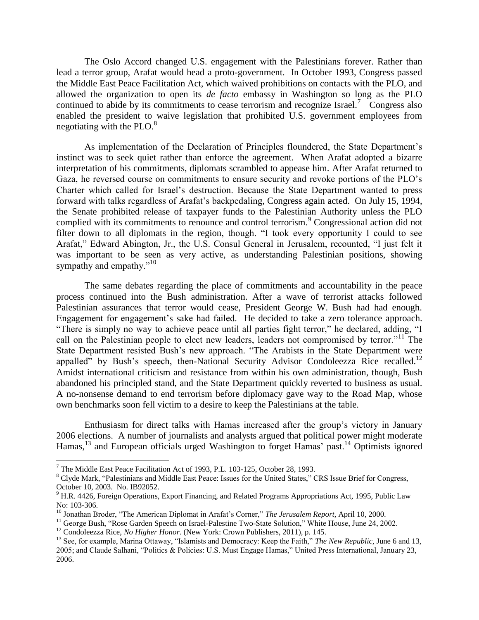The Oslo Accord changed U.S. engagement with the Palestinians forever. Rather than lead a terror group, Arafat would head a proto-government. In October 1993, Congress passed the Middle East Peace Facilitation Act, which waived prohibitions on contacts with the PLO, and allowed the organization to open its *de facto* embassy in Washington so long as the PLO continued to abide by its commitments to cease terrorism and recognize Israel.<sup>7</sup> Congress also enabled the president to waive legislation that prohibited U.S. government employees from negotiating with the  $PLO<sup>8</sup>$ .

As implementation of the Declaration of Principles floundered, the State Department's instinct was to seek quiet rather than enforce the agreement. When Arafat adopted a bizarre interpretation of his commitments, diplomats scrambled to appease him. After Arafat returned to Gaza, he reversed course on commitments to ensure security and revoke portions of the PLO's Charter which called for Israel's destruction. Because the State Department wanted to press forward with talks regardless of Arafat's backpedaling, Congress again acted. On July 15, 1994, the Senate prohibited release of taxpayer funds to the Palestinian Authority unless the PLO complied with its commitments to renounce and control terrorism.<sup>9</sup> Congressional action did not filter down to all diplomats in the region, though. "I took every opportunity I could to see Arafat," Edward Abington, Jr., the U.S. Consul General in Jerusalem, recounted, "I just felt it was important to be seen as very active, as understanding Palestinian positions, showing sympathy and empathy."<sup>10</sup>

The same debates regarding the place of commitments and accountability in the peace process continued into the Bush administration. After a wave of terrorist attacks followed Palestinian assurances that terror would cease, President George W. Bush had had enough. Engagement for engagement's sake had failed. He decided to take a zero tolerance approach. "There is simply no way to achieve peace until all parties fight terror," he declared, adding, "I call on the Palestinian people to elect new leaders, leaders not compromised by terror."<sup>11</sup> The State Department resisted Bush's new approach. "The Arabists in the State Department were appalled" by Bush's speech, then-National Security Advisor Condoleezza Rice recalled.<sup>12</sup> Amidst international criticism and resistance from within his own administration, though, Bush abandoned his principled stand, and the State Department quickly reverted to business as usual. A no-nonsense demand to end terrorism before diplomacy gave way to the Road Map, whose own benchmarks soon fell victim to a desire to keep the Palestinians at the table.

Enthusiasm for direct talks with Hamas increased after the group's victory in January 2006 elections. A number of journalists and analysts argued that political power might moderate Hamas,<sup>13</sup> and European officials urged Washington to forget Hamas' past.<sup>14</sup> Optimists ignored

 $\overline{\phantom{a}}$ 

<sup>&</sup>lt;sup>7</sup> The Middle East Peace Facilitation Act of 1993, P.L. 103-125, October 28, 1993.

<sup>8</sup> Clyde Mark, "Palestinians and Middle East Peace: Issues for the United States," CRS Issue Brief for Congress, October 10, 2003. No. IB92052.

 $9$  H.R. 4426, Foreign Operations, Export Financing, and Related Programs Appropriations Act, 1995, Public Law No: 103-306.

<sup>10</sup> Jonathan Broder, "The American Diplomat in Arafat's Corner," *The Jerusalem Report*, April 10, 2000.

<sup>&</sup>lt;sup>11</sup> George Bush, "Rose Garden Speech on Israel-Palestine Two-State Solution," White House, June 24, 2002.

<sup>12</sup> Condoleezza Rice, *No Higher Honor*. (New York: Crown Publishers, 2011), p. 145.

<sup>&</sup>lt;sup>13</sup> See, for example, Marina Ottaway, "Islamists and Democracy: Keep the Faith," *The New Republic*, June 6 and 13, 2005; and Claude Salhani, "Politics & Policies: U.S. Must Engage Hamas," United Press International, January 23, 2006.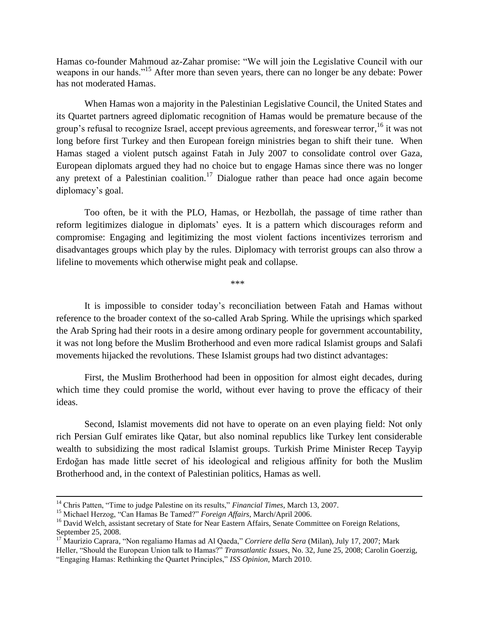Hamas co-founder Mahmoud az-Zahar promise: "We will join the Legislative Council with our weapons in our hands."<sup>15</sup> After more than seven years, there can no longer be any debate: Power has not moderated Hamas.

When Hamas won a majority in the Palestinian Legislative Council, the United States and its Quartet partners agreed diplomatic recognition of Hamas would be premature because of the group's refusal to recognize Israel, accept previous agreements, and foreswear terror, <sup>16</sup> it was not long before first Turkey and then European foreign ministries began to shift their tune. When Hamas staged a violent putsch against Fatah in July 2007 to consolidate control over Gaza, European diplomats argued they had no choice but to engage Hamas since there was no longer any pretext of a Palestinian coalition.<sup>17</sup> Dialogue rather than peace had once again become diplomacy's goal.

Too often, be it with the PLO, Hamas, or Hezbollah, the passage of time rather than reform legitimizes dialogue in diplomats' eyes. It is a pattern which discourages reform and compromise: Engaging and legitimizing the most violent factions incentivizes terrorism and disadvantages groups which play by the rules. Diplomacy with terrorist groups can also throw a lifeline to movements which otherwise might peak and collapse.

It is impossible to consider today's reconciliation between Fatah and Hamas without reference to the broader context of the so-called Arab Spring. While the uprisings which sparked the Arab Spring had their roots in a desire among ordinary people for government accountability, it was not long before the Muslim Brotherhood and even more radical Islamist groups and Salafi movements hijacked the revolutions. These Islamist groups had two distinct advantages:

\*\*\*

First, the Muslim Brotherhood had been in opposition for almost eight decades, during which time they could promise the world, without ever having to prove the efficacy of their ideas.

Second, Islamist movements did not have to operate on an even playing field: Not only rich Persian Gulf emirates like Qatar, but also nominal republics like Turkey lent considerable wealth to subsidizing the most radical Islamist groups. Turkish Prime Minister Recep Tayyip Erdoğan has made little secret of his ideological and religious affinity for both the Muslim Brotherhood and, in the context of Palestinian politics, Hamas as well.

 $\overline{\phantom{a}}$ 

<sup>14</sup> Chris Patten, "Time to judge Palestine on its results," *Financial Times*, March 13, 2007.

<sup>15</sup> Michael Herzog, "Can Hamas Be Tamed?" *Foreign Affairs*, March/April 2006.

<sup>&</sup>lt;sup>16</sup> David Welch, assistant secretary of State for Near Eastern Affairs, Senate Committee on Foreign Relations, September 25, 2008.

<sup>17</sup> Maurizio Caprara*,* "Non regaliamo Hamas ad Al Qaeda," *Corriere della Sera* (Milan), July 17, 2007; Mark

Heller, "Should the European Union talk to Hamas?" *Transatlantic Issues*, No. 32, June 25, 2008; Carolin Goerzig, "Engaging Hamas: Rethinking the Quartet Principles," *ISS Opinion*, March 2010.